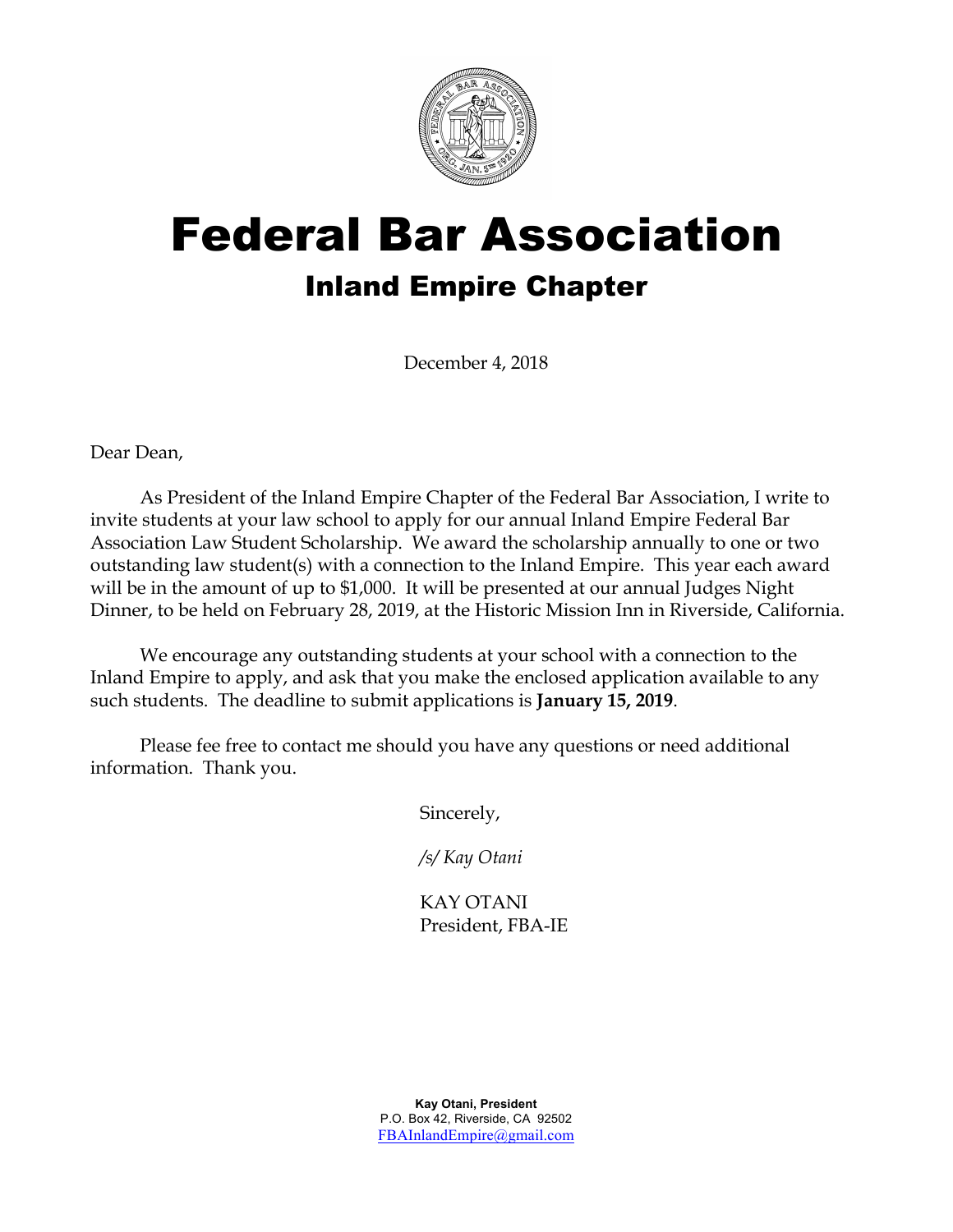

# Federal Bar Association Inland Empire Chapter

December 4, 2018

Dear Dean,

As President of the Inland Empire Chapter of the Federal Bar Association, I write to invite students at your law school to apply for our annual Inland Empire Federal Bar Association Law Student Scholarship. We award the scholarship annually to one or two outstanding law student(s) with a connection to the Inland Empire. This year each award will be in the amount of up to \$1,000. It will be presented at our annual Judges Night Dinner, to be held on February 28, 2019, at the Historic Mission Inn in Riverside, California.

We encourage any outstanding students at your school with a connection to the Inland Empire to apply, and ask that you make the enclosed application available to any such students. The deadline to submit applications is **January 15, 2019**.

Please fee free to contact me should you have any questions or need additional information. Thank you.

Sincerely,

*/s/ Kay Otani*

KAY OTANI President, FBA-IE

**Kay Otani, President** P.O. Box 42, Riverside, CA 92502 FBAInlandEmpire@gmail.com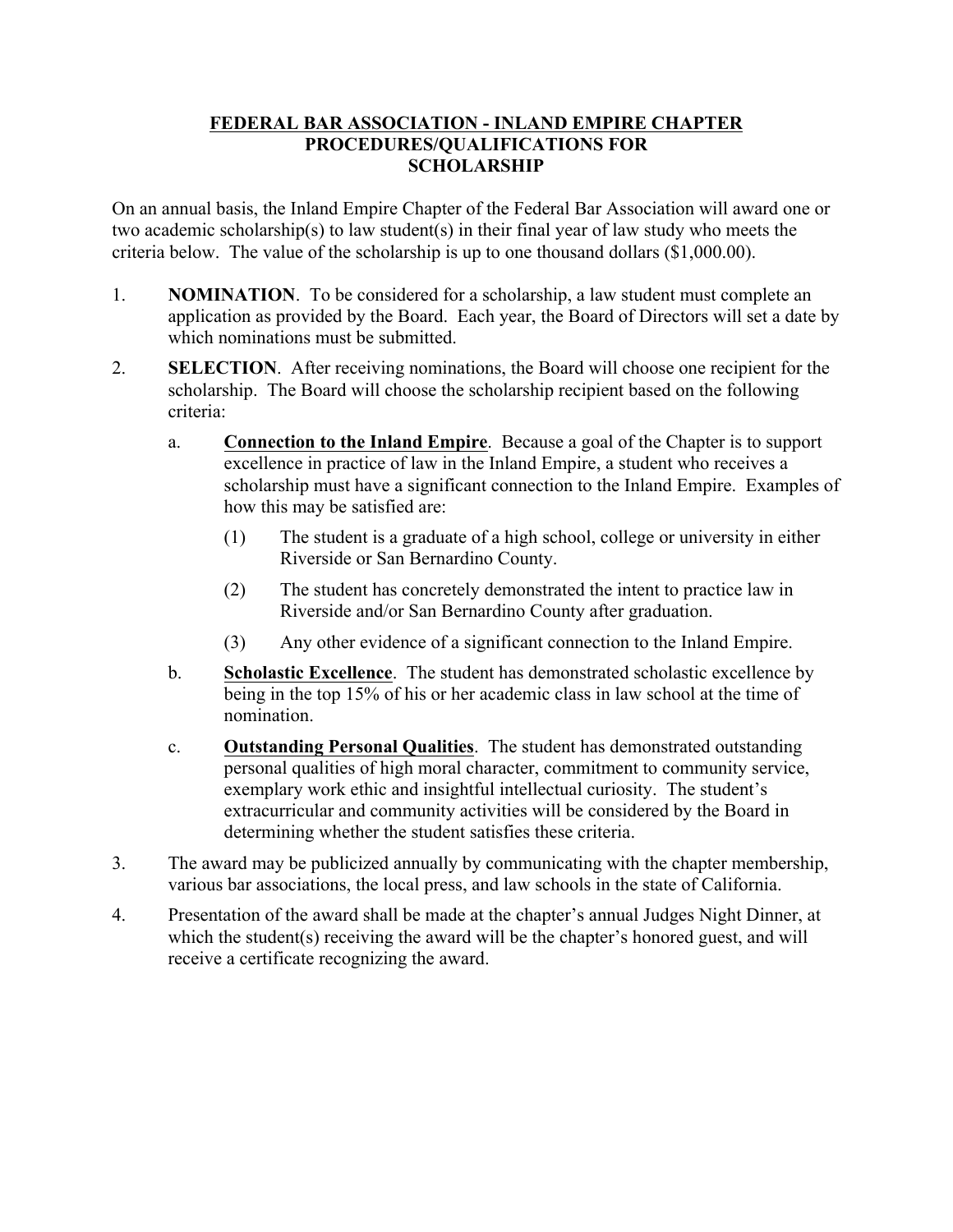## **FEDERAL BAR ASSOCIATION - INLAND EMPIRE CHAPTER PROCEDURES/QUALIFICATIONS FOR SCHOLARSHIP**

On an annual basis, the Inland Empire Chapter of the Federal Bar Association will award one or two academic scholarship(s) to law student(s) in their final year of law study who meets the criteria below. The value of the scholarship is up to one thousand dollars (\$1,000.00).

- 1. **NOMINATION**. To be considered for a scholarship, a law student must complete an application as provided by the Board. Each year, the Board of Directors will set a date by which nominations must be submitted.
- 2. **SELECTION**. After receiving nominations, the Board will choose one recipient for the scholarship. The Board will choose the scholarship recipient based on the following criteria:
	- a. **Connection to the Inland Empire**. Because a goal of the Chapter is to support excellence in practice of law in the Inland Empire, a student who receives a scholarship must have a significant connection to the Inland Empire. Examples of how this may be satisfied are:
		- (1) The student is a graduate of a high school, college or university in either Riverside or San Bernardino County.
		- (2) The student has concretely demonstrated the intent to practice law in Riverside and/or San Bernardino County after graduation.
		- (3) Any other evidence of a significant connection to the Inland Empire.
	- b. **Scholastic Excellence**. The student has demonstrated scholastic excellence by being in the top 15% of his or her academic class in law school at the time of nomination.
	- c. **Outstanding Personal Qualities**. The student has demonstrated outstanding personal qualities of high moral character, commitment to community service, exemplary work ethic and insightful intellectual curiosity. The student's extracurricular and community activities will be considered by the Board in determining whether the student satisfies these criteria.
- 3. The award may be publicized annually by communicating with the chapter membership, various bar associations, the local press, and law schools in the state of California.
- 4. Presentation of the award shall be made at the chapter's annual Judges Night Dinner, at which the student(s) receiving the award will be the chapter's honored guest, and will receive a certificate recognizing the award.